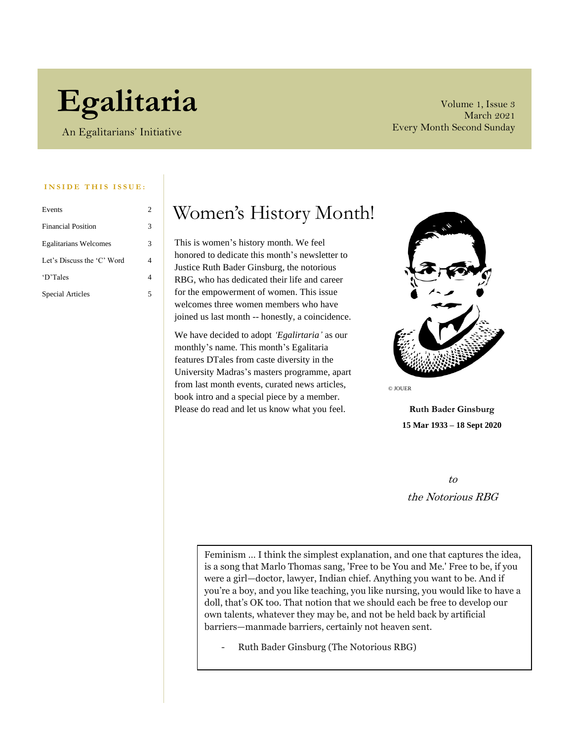# **Egalitaria**

An Egalitarians' Initiative

Volume 1, Issue 3 March 2021 Every Month Second Sunday

#### **INSIDE THIS ISSUE:**

| Events                       | 2 |
|------------------------------|---|
| <b>Financial Position</b>    | 3 |
| <b>Egalitarians Welcomes</b> | 3 |
| Let's Discuss the 'C' Word   | 4 |
| 'D'Tales                     |   |
| Special Articles             | 5 |

### Women's History Month!

This is women's history month. We feel honored to dedicate this month's newsletter to Justice Ruth Bader Ginsburg, the notorious RBG, who has dedicated their life and career for the empowerment of women. This issue welcomes three women members who have joined us last month -- honestly, a coincidence.

We have decided to adopt *'Egalirtaria'* as our monthly's name. This month's Egalitaria features DTales from caste diversity in the University Madras's masters programme, apart from last month events, curated news articles, book intro and a special piece by a member. Please do read and let us know what you feel.



© JOUER

**Ruth Bader Ginsburg 15 Mar 1933 – 18 Sept 2020**

to the Notorious RBG

Feminism … I think the simplest explanation, and one that captures the idea, is a song that Marlo Thomas sang, 'Free to be You and Me.' Free to be, if you were a girl—doctor, lawyer, Indian chief. Anything you want to be. And if you're a boy, and you like teaching, you like nursing, you would like to have a doll, that's OK too. That notion that we should each be free to develop our own talents, whatever they may be, and not be held back by artificial barriers—manmade barriers, certainly not heaven sent.

- Ruth Bader Ginsburg (The Notorious RBG)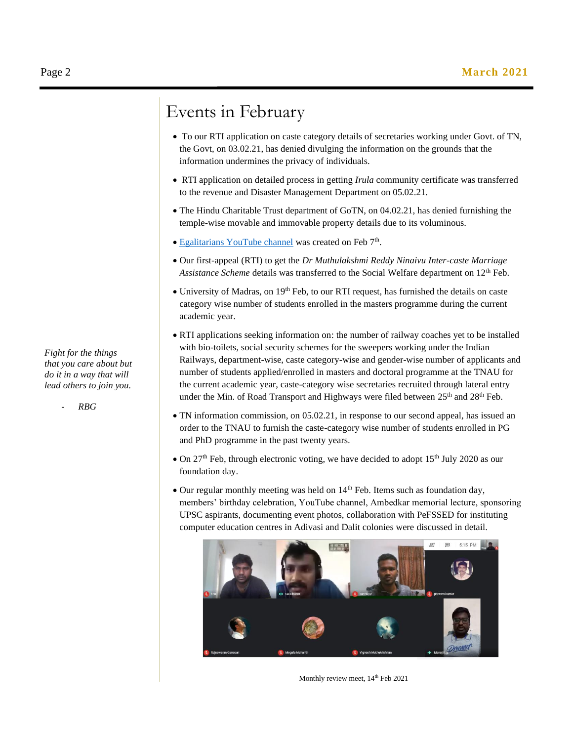### Events in February

- To our RTI application on caste category details of secretaries working under Govt. of TN, the Govt, on 03.02.21, has denied divulging the information on the grounds that the information undermines the privacy of individuals.
- RTI application on detailed process in getting *Irula* community certificate was transferred to the revenue and Disaster Management Department on 05.02.21.
- The Hindu Charitable Trust department of GoTN, on 04.02.21, has denied furnishing the temple-wise movable and immovable property details due to its voluminous.
- [Egalitarians YouTube channel](https://www.youtube.com/channel/UCmhR3tLsMmuek5pDlio1EUA) was created on Feb 7<sup>th</sup>.
- Our first-appeal (RTI) to get the *Dr Muthulakshmi Reddy Ninaivu Inter-caste Marriage*  Assistance Scheme details was transferred to the Social Welfare department on 12<sup>th</sup> Feb.
- University of Madras, on 19<sup>th</sup> Feb, to our RTI request, has furnished the details on caste category wise number of students enrolled in the masters programme during the current academic year.
- RTI applications seeking information on: the number of railway coaches yet to be installed with bio-toilets, social security schemes for the sweepers working under the Indian Railways, department-wise, caste category-wise and gender-wise number of applicants and number of students applied/enrolled in masters and doctoral programme at the TNAU for the current academic year, caste-category wise secretaries recruited through lateral entry under the Min. of Road Transport and Highways were filed between 25<sup>th</sup> and 28<sup>th</sup> Feb.
- TN information commission, on 05.02.21, in response to our second appeal, has issued an order to the TNAU to furnish the caste-category wise number of students enrolled in PG and PhD programme in the past twenty years.
- On  $27<sup>th</sup>$  Feb, through electronic voting, we have decided to adopt  $15<sup>th</sup>$  July 2020 as our foundation day.
- Our regular monthly meeting was held on 14<sup>th</sup> Feb. Items such as foundation day, members' birthday celebration, YouTube channel, Ambedkar memorial lecture, sponsoring UPSC aspirants, documenting event photos, collaboration with PeFSSED for instituting computer education centres in Adivasi and Dalit colonies were discussed in detail.



Monthly review meet,  $14^{\text{th}}$  Feb 2021

*Fight for the things that you care about but do it in a way that will lead others to join you.*

- *RBG*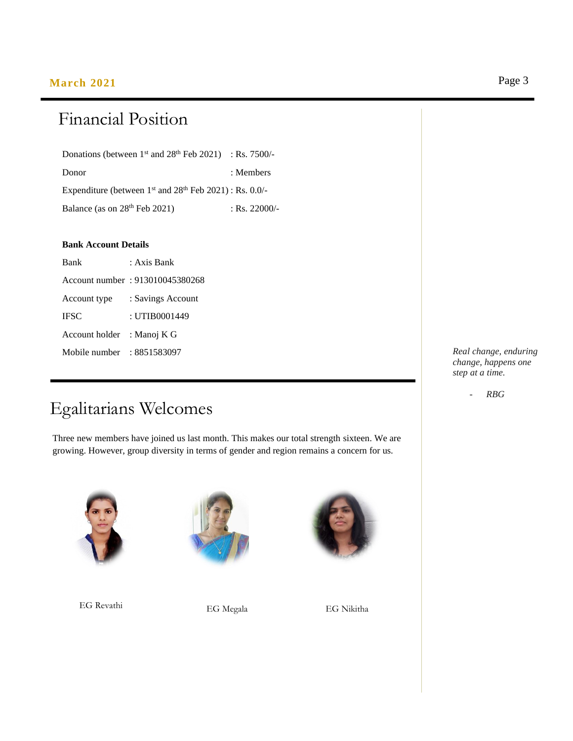### **March 2021** Page 3

## Financial Position

Donations (between  $1<sup>st</sup>$  and  $28<sup>th</sup>$  Feb 2021) : Rs. 7500/-Donor : Members Expenditure (between  $1<sup>st</sup>$  and  $28<sup>th</sup>$  Feb  $2021$ ) : Rs. 0.0/-Balance (as on 28<sup>th</sup> Feb 2021) : Rs. 22000/-

### **Bank Account Details**

| Bank           | : Axis Bank                     |  |
|----------------|---------------------------------|--|
|                | Account number: 913010045380268 |  |
| Account type   | : Savings Account               |  |
| IFSC           | : UTIB0001449                   |  |
| Account holder | : Manoj K G                     |  |
| Mobile number  | : 8851583097                    |  |

### Egalitarians Welcomes

Three new members have joined us last month. This makes our total strength sixteen. We are growing. However, group diversity in terms of gender and region remains a concern for us.



EG Revathi EG Megala EG Nikitha





*Real change, enduring change, happens one step at a time.* 

- *RBG*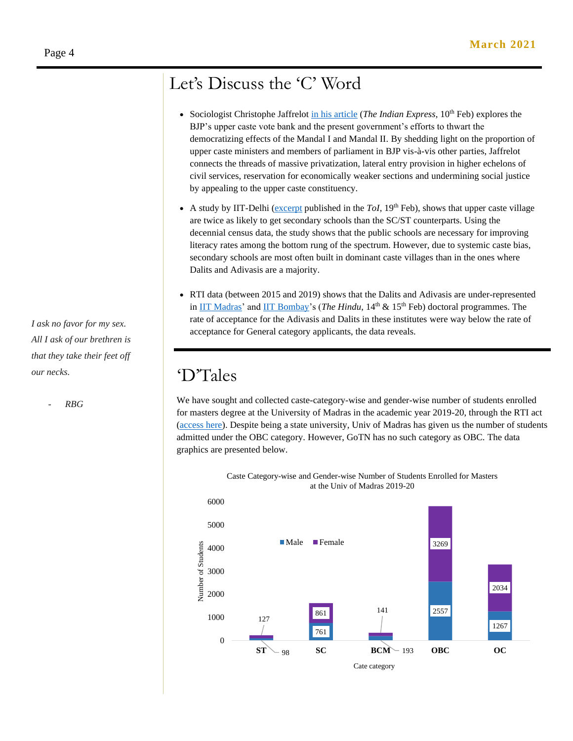### Let's Discuss the 'C' Word

- Sociologist Christophe Jaffrelo[t in his article](https://indianexpress.com/article/opinion/columns/hindu-nationalism-mandal-commission-upper-caste-politics-modi-govt-7181746/) (*The Indian Express*, 10<sup>th</sup> Feb) explores the BJP's upper caste vote bank and the present government's efforts to thwart the democratizing effects of the Mandal I and Mandal II. By shedding light on the proportion of upper caste ministers and members of parliament in BJP vis-à-vis other parties, Jaffrelot connects the threads of massive privatization, lateral entry provision in higher echelons of civil services, reservation for economically weaker sections and undermining social justice by appealing to the upper caste constituency.
- A study by IIT-Delhi [\(excerpt](https://timesofindia.indiatimes.com/india/how-caste-determines-where-a-school-will-be-set-up/articleshow/80684878.cms?from=mdr#:~:text=A%20study%20has%20shown%20that,level%20school%20than%20Dalit%20ones.&text=%E2%80%9COur%20findings%20show%20that%20there,schools%2C%E2%80%9D%20the%20study%20said) published in the  $Tol$ ,  $19<sup>th</sup>$  Feb), shows that upper caste village are twice as likely to get secondary schools than the SC/ST counterparts. Using the decennial census data, the study shows that the public schools are necessary for improving literacy rates among the bottom rung of the spectrum. However, due to systemic caste bias, secondary schools are most often built in dominant caste villages than in the ones where Dalits and Adivasis are a majority.
- RTI data (between 2015 and 2019) shows that the Dalits and Adivasis are under-represented in [IIT Madras'](https://www.thehindu.com/news/national/phd-entry-in-iits-tougher-for-students-from-marginalised-communities/article33824475.ece) and [IIT Bombay'](https://www.thehindu.com/news/national/higher-studies-and-the-marginalised-scheduled-tribe-seats-for-phd-programmes-in-iit-bombay-remain-unfilled/article33835735.ece)s (*The Hindu*, 14<sup>th</sup> & 15<sup>th</sup> Feb) doctoral programmes. The rate of acceptance for the Adivasis and Dalits in these institutes were way below the rate of acceptance for General category applicants, the data reveals.

### 'D'Tales

We have sought and collected caste-category-wise and gender-wise number of students enrolled for masters degree at the University of Madras in the academic year 2019-20, through the RTI act [\(access here\)](https://drive.google.com/file/d/1pk1DVsfAQnOIDRup7hfSHMFvx0stSBsv/view?usp=sharing). Despite being a state university, Univ of Madras has given us the number of students admitted under the OBC category. However, GoTN has no such category as OBC. The data graphics are presented below.



*All I ask of our brethren is that they take their feet off our necks.*

*I ask no favor for my sex.* 

- *RBG*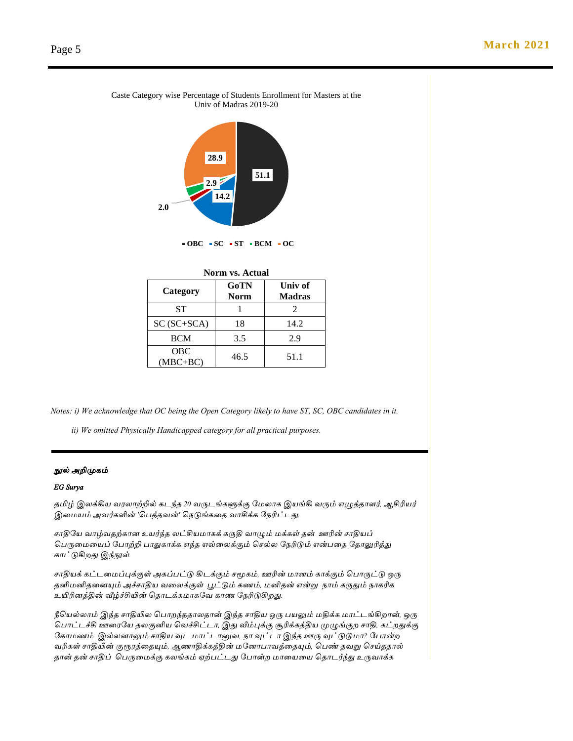#### Caste Category wise Percentage of Students Enrollment for Masters at the Univ of Madras 2019-20



**OBC SC ST BCM OC**

| <b>Norm vs. Actual</b>   |                     |                          |  |
|--------------------------|---------------------|--------------------------|--|
| Category                 | GoTN<br><b>Norm</b> | Univ of<br><b>Madras</b> |  |
| ST                       |                     | 2                        |  |
| $SC (SC+SCA)$            | 18                  | 14.2                     |  |
| <b>BCM</b>               | 3.5                 | 2.9                      |  |
| <b>OBC</b><br>$(MBC+BC)$ | 46.5                | 51.1                     |  |

*Notes: i) We acknowledge that OC being the Open Category likely to have ST, SC, OBC candidates in it.*

 *ii) We omitted Physically Handicapped category for all practical purposes.*

### *நூல் அறிமுகம்*

#### *EG Surya*

*தமிழ் இலக்கிய வரலாற்றில் கடந்த 20 வருடங்களுக்கு மேலாக இயங்கி வரும் எழுத்தாளர், ஆசிரியர் இமேயம் அவர்களின் 'பெத்தவன்' பெடுங்கமத வாசிக்க மெரிட்டது.*

*சாதிமய வாழ்வதற்கான உயர்ந்த லட்சியோகக் கருதி வாழும் ேக்கள் தன் ஊரின் சாதியப் பெருமேமயப் மொற்றி ொதுகாக்க எந்த எல்மலக்கும் பசல்ல மெரிடும் என்ெமத மதாலுரித்து காட்டுகிறது இந்நூல்.*

*சாதியக் கட்டமேப்புக்குள் அகப்ெட்டு கிடக்கும் சமூகம், ஊரின் ோனம் காக்கும் பொருட்டு ஒரு தனிேனிதமனயும் அச்சாதிய வமலக்குள் பூட்டும் கணம், ேனிதன் என்று ொம் கருதும் ொகரிக உயிரினத்தின் வீழ்ச்சியின் பதாடக்கோகமவ காண மெரிடுகிறது.*

*நீபயல்லாம் இந்த சாதியில பொறந்ததாலதான் இந்த சாதிய ஒரு ெயலும் ேதிக்க ோட்டங்கிறான், ஒரு பொட்டச்சி ஊமரமய தலகுனிய பவச்சிட்டா, இது வீம்புக்கு சூரிக்கத்திய முழுங்குற சாதி, கட்றதுக்கு மகாேணம் இல்லனாலும் சாதிய வுட ோட்டானுவ, ொ வுட்டா இந்த ஊரு வுட்டுடுோ? மொன்ற வரிகள் சாதியின் குரூரத்மதயும், ஆணாதிக்கத்தின் ேமனாொவத்மதயும், பெண் தவறு பசய்ததால் தான் தன் சாதிப் பெருமேக்கு கலங்கம் ஏற்ெட்டது மொன்ற ோமயமய பதாடர்ந்து உருவாக்க*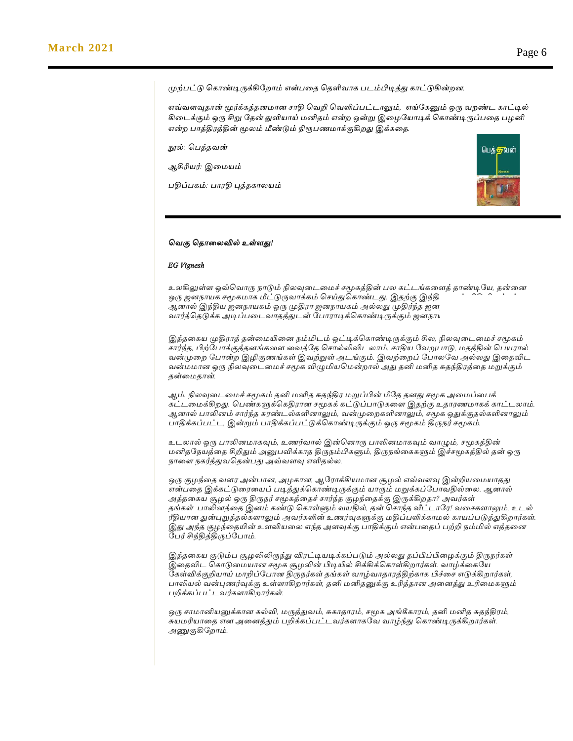*முற்ெட்டு பகாண்டிருக்கிமறாம் என்ெமத பதளிவாக ெடம்பிடித்து காட்டுகின்றன.* 

*எவ்வளவுதான் மூர்க்கத்தனோன சாதி பவறி பவளிப்ெட்டாலும், எங்மகனும் ஒரு வறண்ட காட்டில் கிமடக்கும் ஒரு சிறு மதன் துளியாய் ேனிதம் என்ற ஒன்று இமைமயாடிக் பகாண்டிருப்ெமத ெைனி என்ை பொத்திரத்தின் மூலம் மீண்டும் நிரூெணோக்குகிறது இக்கமத.*

*நூல்: பெ*த்தவன்

*ஆசிரியர்: இமையம்* 

*பதிப்பகம்: பொரதி புத் கொைேம்*



#### *வெகு வ ொலைவில் உள்ளது!*

#### *EG Vignesh*

*உைகிலுள்ள ஒவ்வெொரு நொடும் நிைவுலைலைச் சமூகத்தின் பை கட்ைங்கலளத் ொண்டியே, ன்லை ஒரு ஜைநொேக சமூகைொக மீட்டுருெொக்கம் வசய்துவகொண்ைது. இ ற்கு இந்திேொவும் விதிவிைக்கல்ை. ஆைொல் இந்திே ஜைநொேகம் ஒரு முதிரொ ஜைநொேகம் அல்ைது முதிர்ந் ஜைநொேகைொக ன்லை ெொர்த்வ டுக்க அடிப்பலைெொ த்துைன் யபொரொடிக்வகொண்டிருக்கும் ஜைநொேகம்.*

*இத் லகே முதிரொத் ன்லையிலை நம்மிைம் ஒட்டிக்வகொண்டிருக்கும் சிை, நிைவுலைலைச் சமூகம் சொர்ந் , பிற்யபொக்குத் ைங்கலள லெத்ய வசொல்லிவிைைொம். சொதிே யெறுபொடு, ை த்தின் வபேரொல் ென்முலை யபொன்ை இழிகுணங்கள் இெற்றுள் அைங்கும். இெற்லைப் யபொையெ அல்ைது இல விை ென்ைைொை ஒரு நிைவுலைலைச் சமூக விழுமிேவைன்ைொல் அது னி ைனி சு ந்திரத்ல ைறுக்கும் ன்லை ொன்.*

*ஆம். நிைவுலைலைச் சமூகம் னி ைனி சு ந்திர ைறுப்பின் மீய ைது சமூக அலைப்லபக் கட்ைலைக்கிைது. வபண்களுக்வகதிரொை சமூகக் கட்டுப்பொடுகலள இ ற்கு உ ொரணைொகக் கொட்ைைொம். ஆைொல் பொலிைம் சொர்ந் சுரண்ைல்களிைொலும், ென்முலைகளிைொலும், சமூக ஒதுக்கு ல்களிைொலும் பொதிக்கப்பட்ை, இன்றும் பொதிக்கப்பட்டுக்வகொண்டிருக்கும் ஒரு சமூகம் திருநர் சமூகம்.*

*உைைொல் ஒரு பொலிைைொகவும், உணர்ெொல் இன்வைொரு பொலிைைொகவும் ெொழும், சமூகத்தின் ைனி யநேத்ல சிறிதும் அனுபவிக்கொ திருநம்பிகளும், திருநங்லககளும் இச்சமூகத்தில் ன் ஒரு நொலள நகர்த்துெவ ன்பது அவ்ெளவு எளி ல்ை.*

*ஒரு குழந்ல ெளர அன்பொை, அழகொை, ஆயரொக்கிேைொை சூழல் எவ்ெளவு இன்றிேலைேொ து என்பல இக்கட்டுலரலேப் படித்துக்வகொண்டிருக்கும் ேொரும் ைறுக்கப்யபொெதில்லை. ஆைொல் அத் லகே சூழல் ஒரு திருநர் சமூகத்ல ச் சொர்ந் குழந்ல க்கு இருக்கிை ொ? அெர்கள் ங்கள் பொலிைத்ல இைம் கண்டு வகொள்ளும் ெேதில், ன் வசொந் வீட்ைொயர! ெலசகளொலும், உைல் ரீதிேொை துன்புறுத் ல்களொலும் அெர்களின் உணர்வுகளுக்கு ைதிப்பளிக்கொைல் கொேப்படுத்துகிைொர்கள். இது அந் குழந்ல யின் உளவிேலை எந் அளவுக்கு பொதிக்கும் என்பல ப் பற்றி நம்மில் எத் லை யபர் சிந்தித்திருப்யபொம்.*

*இத் லகே குடும்ப சூழலிலிருந்து விரட்டிேடிக்கப்படும் அல்ைது ப்பிப்பிலழக்கும் திருநர்கள் இல விை வகொடுலைேொை சமூக சூழலின் பிடியில் சிக்கிக்வகொள்கிைொர்கள். ெொழ்க்லகயே யகள்விக்குறிேொய் ைொறிப்யபொை திருநர்கள் ங்கள் ெொழ்ெொ ொரத்திற்கொக பிச்லச எடுக்கிைொர்கள், பொலிேல் ென்புணர்வுக்கு உள்ளொகிைொர்கள், னி ைனி னுக்கு உரித் ொை அலைத்து உரிலைகளும் பறிக்கப்பட்ைெர்களொகிைொர்கள்.*

*ஒரு சொைொனிேனுக்கொை கல்வி, ைருத்துெம், சுகொ ொரம், சமூக அங்கீகொரம், னி ைனி சு ந்திரம், சுேைரிேொல எை அலைத்தும் பறிக்கப்பட்ைெர்களொகயெ ெொழ்ந்து வகொண்டிருக்கிைொர்கள். அணுகுகியைொம்.*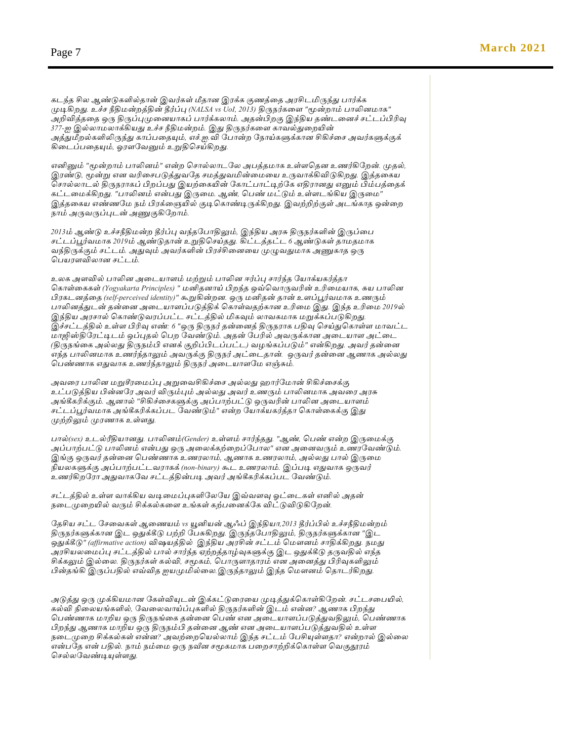*கைந் சிை ஆண்டுகளில் ொன் இெர்கள் மீ ொை இரக்க குணத்ல அரசிைமிருந்து பொர்க்க முடிகிைது. உச்ச நீதிைன்ைத்தின் தீர்ப்பு (NALSA vs UoI, 2013) திருநர்கலள "மூன்ைொம் பொலிைைொக" அறிவித் ல ஒரு திருப்புமுலைேொகப் பொர்க்கைொம். அ ன்பிைகு இந்திே ண்ைலைச் சட்ைப்பிரிவு 377-ஐ இல்ைொைைொக்கிேது உச்ச நீதிைன்ைம். இது திருநர்கலள கொெல்துலையின் அத்துமீைல்களிலிருந்து கொப்பல யும், எச்.ஐ.வி யபொன்ை யநொய்களுக்கொை சிகிச்லச அெர்களுக்குக் கிலைப்பல யும், ஓரளயெனும் உறுதிவசய்கிைது.*

*எனினும் "மூன்ைொம் பொலிைம்" என்ை வசொல்ைொையை அபத் ைொக உள்ளவ ை உணர்கியைன். மு ல், இரண்டு, மூன்று எை ெரிலசபடுத்துெய சைத்துெமின்லைலே உருெொக்கிவிடுகிைது. இத் லகே வசொல்ைொைல் திருநரொகப் பிைப்பது இேற்லகயின் யகொட்பொட்டிற்யக எதிரொைது எனும் பிம்பத்ல க் கட்ைலைக்கிைது. "பொலிைம் என்பது இருலை. ஆண், வபண் ைட்டும் உள்ளைங்கிே இருலை" இத் லகே எண்ணயை நம் பிரக்லையில் குடிவகொண்டிருக்கிைது. இெற்றிற்குள் அைங்கொ ஒன்லை நொம் அருெருப்புைன் அணுகுகியைொம்.* 

*2013ம் ஆண்டு உச்சநீதிைன்ை தீர்ப்பு ெந் யபொதிலும், இந்திே அரசு திருநர்களின் இருப்லப சட்ைப்பூர்ெைொக 2019ம் ஆண்டு ொன் உறுதிவசய் து. கிட்ைத் ட்ை 6 ஆண்டுகள் ொை ைொக ெந்திருக்கும் சட்ைம். அதுவும் அெர்களின் பிரச்சிலைலே முழுெதுைொக அணுகொ ஒரு வபேரளவிைொை சட்ைம்.*

*உைக அளவில் பொலிை அலைேொளம் ைற்றும் பொலிை ஈர்ப்பு சொர்ந் யேொக்ேகர்த் ொ வகொள்லககள் (Yogyakarta Principles) " ைனி ைொய் பிைந் ஒவ்வெொருெரின் உரிலைேொக, சுே பொலிை பிரகைைத்ல (self-perceived identity)" கூறுகின்ைை. ஒரு ைனி ன் ொன் உளப்பூர்ெைொக உணரும் பொலிைத்துைன் ன்லை அலைேொளப்படுத்திக் வகொள்ெ ற்கொை உரிலை இது. இந் உரிலை 2019ல் இந்திே அரசொல் வகொண்டுெரப்பட்ை சட்ைத்தில் மிகவும் ைொெகைொக ைறுக்கப்படுகிைது. இச்சட்ைத்தில் உள்ள பிரிவு எண்: 6 "ஒரு திருநர் ன்லைத் திருநரொக பதிவு வசய்துவகொள்ள ைொெட்ை ைொஜிஸ்தியரட்டிைம் ஒப்பு ல் வபை யெண்டும். அ ன் யபரில் அெருக்கொை அலைேொள அட்லை (திருநங்லக அல்ைது திருநம்பி எைக் குறிப்பிைப்பட்ை) ெழங்கப்படும்" என்கிைது. அெர் ன்லை எந் பொலிைைொக உணர்ந் ொலும் அெருக்கு திருநர் அட்லை ொன். ஒருெர் ன்லை ஆணொக அல்ைது வபண்ணொக எதுெொக உணர்ந் ொலும் திருநர் அலைேொளயை எஞ்சும்.*

*அெலர பொலிை ைறுசீரலைப்பு அறுலெசிகிச்லச அல்ைது ஹொர்யைொன் சிகிச்லசக்கு உட்படுத்திே பின்ையர அெர் விரும்பும் அல்ைது அெர் உணரும் பொலிைைொக அெலர அரசு அங்கீகரிக்கும். ஆைொல் "சிகிச்லசகளுக்கு அப்பொற்பட்டு ஒருெரின் பொலிை அலைேொளம் சட்ைப்பூர்ெைொக அங்கீகரிக்கப்பை யெண்டும்" என்ை யேொக்ேகர்த் ொ வகொள்லகக்கு இது முற்றிலும் முரணொக உள்ளது.*

*பொல்(sex) உைல்ரீதிேொைது. பொலிைம்(Gender) உள்ளம் சொர்ந் து. "ஆண், வபண் என்ை இருலைக்கு அப்பொற்பட்டு பொலிைம் என்பது ஒரு அலைக்கற்லைப்யபொை" எை அலைெரும் உணரயெண்டும். இங்கு ஒருெர் ன்லை வபண்ணொக உணரைொம், ஆணொக உணரைொம், அல்ைது பொல் இருலை நிேைகளுக்கு அப்பொற்பட்ைெரொகக் (non-binary) கூை உணரைொம். இப்படி எதுெொக ஒருெர் உணர்கிையரொ அதுெொகயெ சட்ைத்தின்படி அெர் அங்கீகரிக்கப்பை யெண்டும்.*

*சட்ைத்தில் உள்ள ெொக்கிே ெடிலைப்புகளியையே இவ்ெளவு ஓட்லைகள் எனில் அ ன் நலைமுலையில் ெரும் சிக்கல்கலள உங்கள் கற்பலைக்யக விட்டுவிடுகியைன்.*

*ய சிே சட்ை யசலெகள் ஆலணேம் vs யூனிேன் ஆஃப் இந்திேொ,2013 தீர்ப்பில் உச்சநீதிைன்ைம் திருநர்களுக்கொை இை ஒதுக்கீடு பற்றி யபசுகிைது. இருந் யபொதிலும், திருநர்களுக்கொை "இை ஒதுக்கீடு" (affirmative action) விஷேத்தில் இந்திே அரசின் சட்ைம் வைௌைம் சொதிக்கிைது. நைது அரசிேைலைப்பு சட்ைத்தில் பொல் சொர்ந் ஏற்ைத் ொழ்வுகளுக்கு இை ஒதுக்கீடு ருெதில் எந் சிக்கலும் இல்லை. திருநர்கள் கல்வி, சமூகம், வபொருளொ ொரம் எை அலைத்து பிரிவுகளிலும் பின் ங்கி இருப்பதில் எவ்வி ஐேமுமில்லை.இருந் ொலும் இந் வைௌைம் வ ொைர்கிைது.* 

*அடுத்து ஒரு முக்கிேைொை யகள்வியுைன் இக்கட்டுலரலே முடித்துக்வகொள்கியைன். சட்ைசலபயில், கல்வி நிலைேங்களில், யெலைெொய்ப்புகளில் திருநர்களின் இைம் என்ை? ஆணொக பிைந்து வபண்ணொக ைொறிே ஒரு திருநங்லக ன்லை வபண் எை அலைேொளப்படுத்துெதிலும், வபண்ணொக பிைந்து ஆணொக ைொறிே ஒரு திருநம்பி ன்லை ஆண் எை அலைேொளப்படுத்துெதில் உள்ள நலைமுலை சிக்கல்கள் என்ை? அெற்லைவேல்ைொம் இந் சட்ைம் யபசியுள்ள ொ? என்ைொல் இல்லை என்பய என் பதில். நொம் நம்லை ஒரு நவீை சமூகைொக பலைசொற்றிக்வகொள்ள வெகுதூரம் வசல்ையெண்டியுள்ளது.*